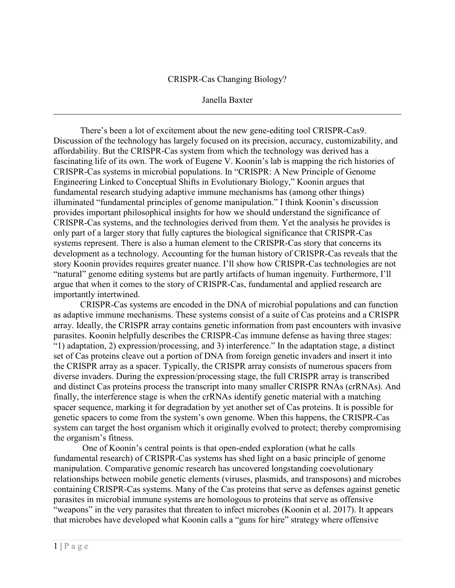## CRISPR-Cas Changing Biology?

## Janella Baxter

There's been a lot of excitement about the new gene-editing tool CRISPR-Cas9. Discussion of the technology has largely focused on its precision, accuracy, customizability, and affordability. But the CRISPR-Cas system from which the technology was derived has a fascinating life of its own. The work of Eugene V. Koonin's lab is mapping the rich histories of CRISPR-Cas systems in microbial populations. In "CRISPR: A New Principle of Genome Engineering Linked to Conceptual Shifts in Evolutionary Biology," Koonin argues that fundamental research studying adaptive immune mechanisms has (among other things) illuminated "fundamental principles of genome manipulation." I think Koonin's discussion provides important philosophical insights for how we should understand the significance of CRISPR-Cas systems, and the technologies derived from them. Yet the analysis he provides is only part of a larger story that fully captures the biological significance that CRISPR-Cas systems represent. There is also a human element to the CRISPR-Cas story that concerns its development as a technology. Accounting for the human history of CRISPR-Cas reveals that the story Koonin provides requires greater nuance. I'll show how CRISPR-Cas technologies are not "natural" genome editing systems but are partly artifacts of human ingenuity. Furthermore, I'll argue that when it comes to the story of CRISPR-Cas, fundamental and applied research are importantly intertwined.

CRISPR-Cas systems are encoded in the DNA of microbial populations and can function as adaptive immune mechanisms. These systems consist of a suite of Cas proteins and a CRISPR array. Ideally, the CRISPR array contains genetic information from past encounters with invasive parasites. Koonin helpfully describes the CRISPR-Cas immune defense as having three stages: "1) adaptation, 2) expression/processing, and 3) interference." In the adaptation stage, a distinct set of Cas proteins cleave out a portion of DNA from foreign genetic invaders and insert it into the CRISPR array as a spacer. Typically, the CRISPR array consists of numerous spacers from diverse invaders. During the expression/processing stage, the full CRISPR array is transcribed and distinct Cas proteins process the transcript into many smaller CRISPR RNAs (crRNAs). And finally, the interference stage is when the crRNAs identify genetic material with a matching spacer sequence, marking it for degradation by yet another set of Cas proteins. It is possible for genetic spacers to come from the system's own genome. When this happens, the CRISPR-Cas system can target the host organism which it originally evolved to protect; thereby compromising the organism's fitness.

One of Koonin's central points is that open-ended exploration (what he calls fundamental research) of CRISPR-Cas systems has shed light on a basic principle of genome manipulation. Comparative genomic research has uncovered longstanding coevolutionary relationships between mobile genetic elements (viruses, plasmids, and transposons) and microbes containing CRISPR-Cas systems. Many of the Cas proteins that serve as defenses against genetic parasites in microbial immune systems are homologous to proteins that serve as offensive "weapons" in the very parasites that threaten to infect microbes (Koonin et al. 2017). It appears that microbes have developed what Koonin calls a "guns for hire" strategy where offensive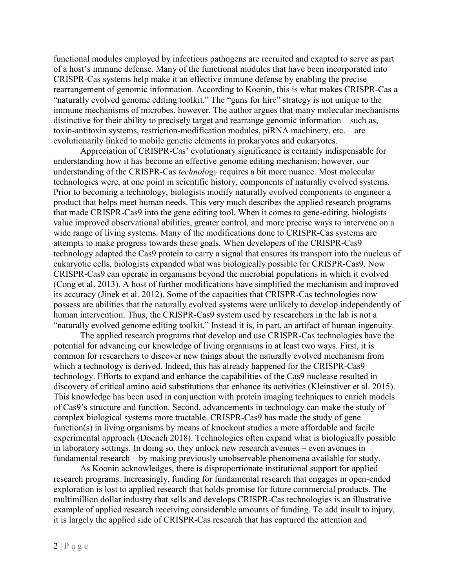functional modules employed by infectious pathogens are recruited and exapted to serve as part of a host's immune defense. Many of the functional modules that have been incorporated into CRISPR-Cas systems help make it an effective immune defense by enabling the precise rearrangement of genomic information. According to Koonin, this is what makes CRISPR-Cas a "naturally evolved genome editing toolkit." The "guns for hire" strategy is not unique to the immune mechanisms of microbes, however. The author argues that many molecular mechanisms distinctive for their ability to precisely target and rearrange genomic information – such as, toxin-antitoxin systems, restriction-modification modules, piRNA machinery, etc. – are evolutionarily linked to mobile genetic elements in prokaryotes and eukaryotes.

Appreciation of CRISPR-Cas' evolutionary significance is certainly indispensable for understanding how it has become an effective genome editing mechanism; however, our understanding of the CRISPR-Cas *technology* requires a bit more nuance. Most molecular technologies were, at one point in scientific history, components of naturally evolved systems. Prior to becoming a technology, biologists modify naturally evolved components to engineer a product that helps meet human needs. This very much describes the applied research programs that made CRISPR-Cas9 into the gene editing tool. When it comes to gene-editing, biologists value improved observational abilities, greater control, and more precise ways to intervene on a wide range of living systems. Many of the modifications done to CRISPR-Cas systems are attempts to make progress towards these goals. When developers of the CRISPR-Cas9 technology adapted the Cas9 protein to carry a signal that ensures its transport into the nucleus of eukaryotic cells, biologists expanded what was biologically possible for CRISPR-Cas9. Now CRISPR-Cas9 can operate in organisms beyond the microbial populations in which it evolved (Cong et al. 2013). A host of further modifications have simplified the mechanism and improved its accuracy (Jinek et al. 2012). Some of the capacities that CRISPR-Cas technologies now possess are abilities that the naturally evolved systems were unlikely to develop independently of human intervention. Thus, the CRISPR-Cas9 system used by researchers in the lab is not a "naturally evolved genome editing toolkit." Instead it is, in part, an artifact of human ingenuity.

The applied research programs that develop and use CRISPR-Cas technologies have the potential for advancing our knowledge of living organisms in at least two ways. First, it is common for researchers to discover new things about the naturally evolved mechanism from which a technology is derived. Indeed, this has already happened for the CRISPR-Cas9 technology. Efforts to expand and enhance the capabilities of the Cas9 nuclease resulted in discovery of critical amino acid substitutions that enhance its activities (Kleinstiver et al. 2015). This knowledge has been used in conjunction with protein imaging techniques to enrich models of Cas9's structure and function. Second, advancements in technology can make the study of complex biological systems more tractable. CRISPR-Cas9 has made the study of gene function(s) in living organisms by means of knockout studies a more affordable and facile experimental approach (Doench 2018). Technologies often expand what is biologically possible in laboratory settings. In doing so, they unlock new research avenues – even avenues in fundamental research – by making previously unobservable phenomena available for study.

As Koonin acknowledges, there is disproportionate institutional support for applied research programs. Increasingly, funding for fundamental research that engages in open-ended exploration is lost to applied research that holds promise for future commercial products. The multimillion dollar industry that sells and develops CRISPR-Cas technologies is an illustrative example of applied research receiving considerable amounts of funding. To add insult to injury, it is largely the applied side of CRISPR-Cas research that has captured the attention and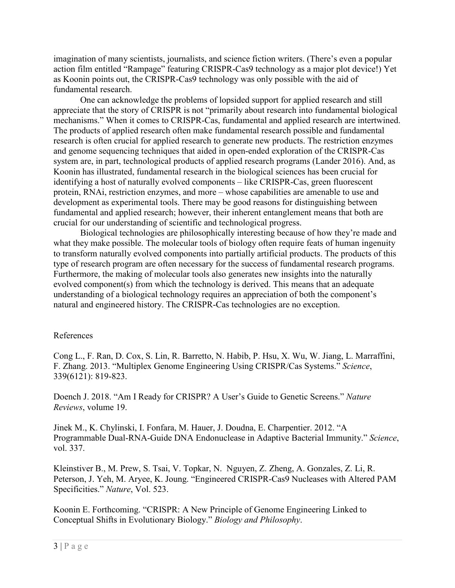imagination of many scientists, journalists, and science fiction writers. (There's even a popular action film entitled "Rampage" featuring CRISPR-Cas9 technology as a major plot device!) Yet as Koonin points out, the CRISPR-Cas9 technology was only possible with the aid of fundamental research.

One can acknowledge the problems of lopsided support for applied research and still appreciate that the story of CRISPR is not "primarily about research into fundamental biological mechanisms." When it comes to CRISPR-Cas, fundamental and applied research are intertwined. The products of applied research often make fundamental research possible and fundamental research is often crucial for applied research to generate new products. The restriction enzymes and genome sequencing techniques that aided in open-ended exploration of the CRISPR-Cas system are, in part, technological products of applied research programs (Lander 2016). And, as Koonin has illustrated, fundamental research in the biological sciences has been crucial for identifying a host of naturally evolved components – like CRISPR-Cas, green fluorescent protein, RNAi, restriction enzymes, and more – whose capabilities are amenable to use and development as experimental tools. There may be good reasons for distinguishing between fundamental and applied research; however, their inherent entanglement means that both are crucial for our understanding of scientific and technological progress.

Biological technologies are philosophically interesting because of how they're made and what they make possible. The molecular tools of biology often require feats of human ingenuity to transform naturally evolved components into partially artificial products. The products of this type of research program are often necessary for the success of fundamental research programs. Furthermore, the making of molecular tools also generates new insights into the naturally evolved component(s) from which the technology is derived. This means that an adequate understanding of a biological technology requires an appreciation of both the component's natural and engineered history. The CRISPR-Cas technologies are no exception.

## References

Cong L., F. Ran, D. Cox, S. Lin, R. Barretto, N. Habib, P. Hsu, X. Wu, W. Jiang, L. Marraffini, F. Zhang. 2013. "Multiplex Genome Engineering Using CRISPR/Cas Systems." *Science*, 339(6121): 819-823.

Doench J. 2018. "Am I Ready for CRISPR? A User's Guide to Genetic Screens." *Nature Reviews*, volume 19.

Jinek M., K. Chylinski, I. Fonfara, M. Hauer, J. Doudna, E. Charpentier. 2012. "A Programmable Dual-RNA-Guide DNA Endonuclease in Adaptive Bacterial Immunity." *Science*, vol. 337.

Kleinstiver B., M. Prew, S. Tsai, V. Topkar, N. Nguyen, Z. Zheng, A. Gonzales, Z. Li, R. Peterson, J. Yeh, M. Aryee, K. Joung. "Engineered CRISPR-Cas9 Nucleases with Altered PAM Specificities." *Nature*, Vol. 523.

Koonin E. Forthcoming. "CRISPR: A New Principle of Genome Engineering Linked to Conceptual Shifts in Evolutionary Biology." *Biology and Philosophy*.